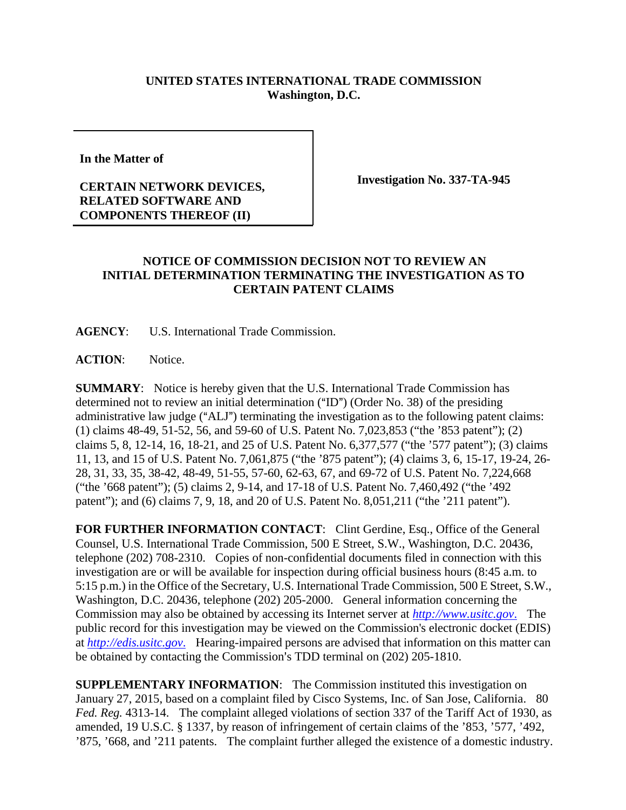## **UNITED STATES INTERNATIONAL TRADE COMMISSION Washington, D.C.**

**In the Matter of**

## **CERTAIN NETWORK DEVICES, RELATED SOFTWARE AND COMPONENTS THEREOF (II)**

**Investigation No. 337-TA-945**

## **NOTICE OF COMMISSION DECISION NOT TO REVIEW AN INITIAL DETERMINATION TERMINATING THE INVESTIGATION AS TO CERTAIN PATENT CLAIMS**

**AGENCY**: U.S. International Trade Commission.

**ACTION**: Notice.

**SUMMARY**: Notice is hereby given that the U.S. International Trade Commission has determined not to review an initial determination  $("ID")$  (Order No. 38) of the presiding administrative law judge ("ALJ") terminating the investigation as to the following patent claims: (1) claims 48-49, 51-52, 56, and 59-60 of U.S. Patent No. 7,023,853 ("the '853 patent"); (2) claims 5, 8, 12-14, 16, 18-21, and 25 of U.S. Patent No. 6,377,577 ("the '577 patent"); (3) claims 11, 13, and 15 of U.S. Patent No. 7,061,875 ("the '875 patent"); (4) claims 3, 6, 15-17, 19-24, 26- 28, 31, 33, 35, 38-42, 48-49, 51-55, 57-60, 62-63, 67, and 69-72 of U.S. Patent No. 7,224,668 ("the '668 patent"); (5) claims 2, 9-14, and 17-18 of U.S. Patent No. 7,460,492 ("the '492 patent"); and (6) claims 7, 9, 18, and 20 of U.S. Patent No. 8,051,211 ("the '211 patent").

FOR FURTHER INFORMATION CONTACT: Clint Gerdine, Esq., Office of the General Counsel, U.S. International Trade Commission, 500 E Street, S.W., Washington, D.C. 20436, telephone (202) 708-2310. Copies of non-confidential documents filed in connection with this investigation are or will be available for inspection during official business hours (8:45 a.m. to 5:15 p.m.) in the Office of the Secretary, U.S. International Trade Commission, 500 E Street, S.W., Washington, D.C. 20436, telephone (202) 205-2000. General information concerning the Commission may also be obtained by accessing its Internet server at *http://www.usitc.gov*. The public record for this investigation may be viewed on the Commission's electronic docket (EDIS) at *http://edis.usitc.gov*. Hearing-impaired persons are advised that information on this matter can be obtained by contacting the Commission's TDD terminal on (202) 205-1810.

**SUPPLEMENTARY INFORMATION**: The Commission instituted this investigation on January 27, 2015, based on a complaint filed by Cisco Systems, Inc. of San Jose, California. 80 *Fed. Reg.* 4313-14. The complaint alleged violations of section 337 of the Tariff Act of 1930, as amended, 19 U.S.C. § 1337, by reason of infringement of certain claims of the '853, '577, '492, '875, '668, and '211 patents. The complaint further alleged the existence of a domestic industry.